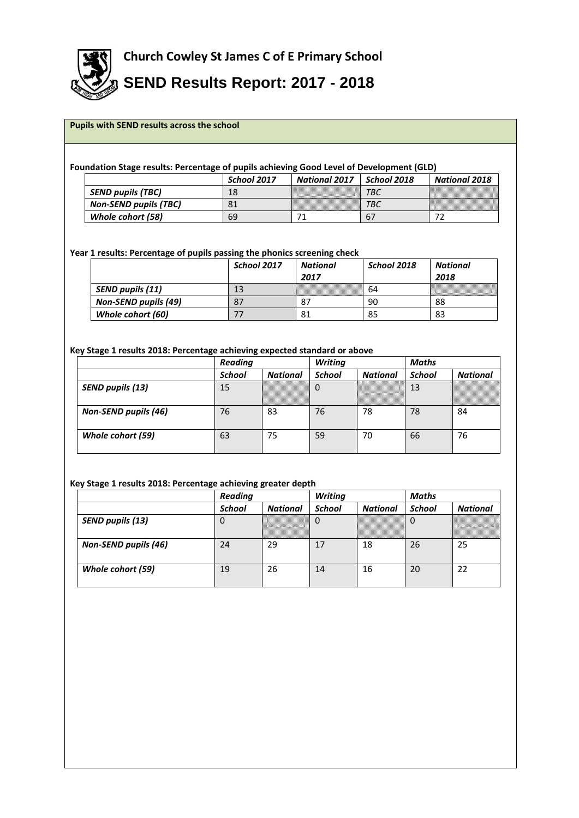

**SEND Results Report: 2017 - 2018**

## **Pupils with SEND results across the school**

#### **Foundation Stage results: Percentage of pupils achieving Good Level of Development (GLD)**

|                              | School 2017 | <b>National 2017</b> | School 2018 | <b>National 2018</b> |
|------------------------------|-------------|----------------------|-------------|----------------------|
| <b>SEND pupils (TBC)</b>     |             |                      | ТВС         |                      |
| <b>Non-SEND pupils (TBC)</b> | 81          |                      | TBC         |                      |
| Whole cohort (58)            | 69          |                      | b'          |                      |

## **Year 1 results: Percentage of pupils passing the phonics screening check**

|                             | School 2017 | National | School 2018 | National |
|-----------------------------|-------------|----------|-------------|----------|
|                             |             | 2017     |             | 2018     |
| SEND pupils (11)            | 13          |          | 64          |          |
| <b>Non-SEND pupils (49)</b> | 87          | 87       | 90          | 88       |
| Whole cohort (60)           |             | 81       | 85          | 83       |

#### **Key Stage 1 results 2018: Percentage achieving expected standard or above**

|                             | <b>Reading</b> |                 | <b>Writing</b> |                 | Maths         |                 |
|-----------------------------|----------------|-----------------|----------------|-----------------|---------------|-----------------|
|                             | <b>School</b>  | <b>National</b> | <b>School</b>  | <b>National</b> | <b>School</b> | <b>National</b> |
| SEND pupils (13)            | 15             |                 | 0              |                 | 13            |                 |
| <b>Non-SEND pupils (46)</b> | 76             | 83              | 76             | 78              | 78            | 84              |
| Whole cohort (59)           | 63             | 75              | 59             | 70              | 66            | 76              |

# **Key Stage 1 results 2018: Percentage achieving greater depth**

|                             | <b>Reading</b> |                 | <b>Writing</b> | Maths           |               |                 |  |
|-----------------------------|----------------|-----------------|----------------|-----------------|---------------|-----------------|--|
|                             | <b>School</b>  | <b>National</b> | <b>School</b>  | <b>National</b> | <b>School</b> | <b>National</b> |  |
| SEND pupils (13)            | υ              |                 | U              |                 | υ             |                 |  |
| <b>Non-SEND pupils (46)</b> | 24             | 29              | 17             | 18              | 26            | 25              |  |
| Whole cohort (59)           | 19             | 26              | 14             | 16              | 20            | 22              |  |